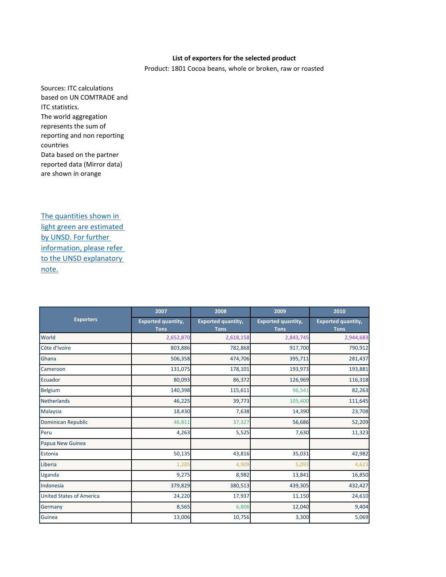## **List of exporters for the selected product**

Product: 1801 Cocoa beans, whole or broken, raw or roasted

Sources: ITC calculations based on UN COMTRADE and ITC statistics. The world aggregation represents the sum of reporting and non reporting countries Data based on the partner reported data (Mirror data) are shown in orange

The quantities shown in [light green are estimated](http://unstats.un.org/unsd/tradekb/Knowledgebase/Quantity-and-Weight-Data-in-UN-Comtrade)  [by UNSD. For further](http://unstats.un.org/unsd/tradekb/Knowledgebase/Quantity-and-Weight-Data-in-UN-Comtrade)  [information, please refer](http://unstats.un.org/unsd/tradekb/Knowledgebase/Quantity-and-Weight-Data-in-UN-Comtrade)  to the UNSD explanatory [note.](http://unstats.un.org/unsd/tradekb/Knowledgebase/Quantity-and-Weight-Data-in-UN-Comtrade)

|                                 | 2007                                     | 2008                                     | 2009                                     | 2010                                     |
|---------------------------------|------------------------------------------|------------------------------------------|------------------------------------------|------------------------------------------|
| <b>Exporters</b>                | <b>Exported quantity,</b><br><b>Tons</b> | <b>Exported quantity,</b><br><b>Tons</b> | <b>Exported quantity,</b><br><b>Tons</b> | <b>Exported quantity,</b><br><b>Tons</b> |
| World                           | 2,652,870                                | 2,618,158                                | 2,843,745                                | 2,944,683                                |
| Côte d'Ivoire                   | 803,886                                  | 782,868                                  | 917,700                                  | 790,912                                  |
| Ghana                           | 506,358                                  | 474,706                                  | 395,711                                  | 281,437                                  |
| Cameroon                        | 131,075                                  | 178,101                                  | 193,973                                  | 193,881                                  |
| Ecuador                         | 80,093                                   | 86,372                                   | 126,969                                  | 116,318                                  |
| <b>Belgium</b>                  | 140,398                                  | 115,611                                  | 96,541                                   | 82,263                                   |
| <b>Netherlands</b>              | 46,225                                   | 39,773                                   | 105,400                                  | 111,645                                  |
| Malaysia                        | 18,430                                   | 7,638                                    | 14,390                                   | 23,708                                   |
| Dominican Republic              | 46,811                                   | 37,327                                   | 56,686                                   | 52,209                                   |
| Peru                            | 4,263                                    | 5,525                                    | 7,630                                    | 11,323                                   |
| Papua New Guinea                |                                          |                                          |                                          |                                          |
| Estonia                         | 50,135                                   | 43,816                                   | 35,031                                   | 42,982                                   |
| Liberia                         | 1,285                                    | 4,909                                    | 5,093                                    | 4,623                                    |
| Uganda                          | 9,275                                    | 8,982                                    | 13,841                                   | 16,850                                   |
| Indonesia                       | 379,829                                  | 380,513                                  | 439,305                                  | 432,427                                  |
| <b>United States of America</b> | 24,220                                   | 17,937                                   | 11,150                                   | 24,610                                   |
| Germany                         | 8,565                                    | 6,806                                    | 12,040                                   | 9,404                                    |
| Guinea                          | 13,006                                   | 10,756                                   | 3,300                                    | 5,069                                    |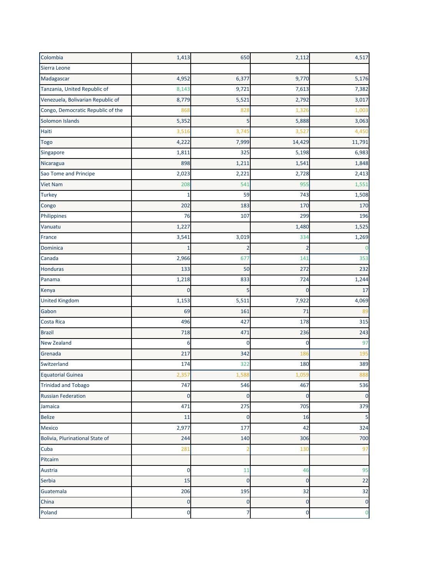| Colombia                          | 1,413       | 650            | 2,112       | 4,517          |
|-----------------------------------|-------------|----------------|-------------|----------------|
| Sierra Leone                      |             |                |             |                |
| Madagascar                        | 4,952       | 6,377          | 9,770       | 5,176          |
| Tanzania, United Republic of      | 8,143       | 9,721          | 7,613       | 7,382          |
| Venezuela, Bolivarian Republic of | 8,779       | 5,521          | 2,792       | 3,017          |
| Congo, Democratic Republic of the | 868         | 828            | 1,326       | 1,003          |
| Solomon Islands                   | 5,352       | 5              | 5,888       | 3,063          |
| Haiti                             | 3,516       | 3,745          | 3,527       | 4,450          |
| <b>Togo</b>                       | 4,222       | 7,999          | 14,429      | 11,791         |
| Singapore                         | 1,811       | 325            | 5,198       | 6,983          |
| Nicaragua                         | 898         | 1,211          | 1,541       | 1,848          |
| Sao Tome and Principe             | 2,023       | 2,221          | 2,728       | 2,413          |
| <b>Viet Nam</b>                   | 208         | 541            | 955         | 1,551          |
| <b>Turkey</b>                     | 1           | 59             | 743         | 1,508          |
| Congo                             | 202         | 183            | 170         | 170            |
| Philippines                       | 76          | 107            | 299         | 196            |
| Vanuatu                           | 1,227       |                | 1,480       | 1,525          |
| France                            | 3,541       | 3,019          | 334         | 1,269          |
| Dominica                          |             |                | 2           |                |
| Canada                            | 2,966       | 677            | 141         | 353            |
| Honduras                          | 133         | 50             | 272         | 232            |
| Panama                            | 1,218       | 833            | 724         | 1,244          |
| Kenya                             | 0           | 5              | 0           | 17             |
| <b>United Kingdom</b>             | 1,153       | 5,511          | 7,922       | 4,069          |
| Gabon                             | 69          | 161            | 71          | 89             |
| Costa Rica                        | 496         | 427            | 178         | 315            |
| <b>Brazil</b>                     | 718         | 471            | 236         | 243            |
| New Zealand                       | 6           | 0              | 0           | 97             |
| Grenada                           | 217         | 342            | 186         | 195            |
| Switzerland                       | 174         | 322            | 180         | 389            |
| Equatorial Guinea                 | 2,357       | 1,588          | 1,059       | 888            |
| <b>Trinidad and Tobago</b>        | 747         | 546            | 467         | 536            |
| <b>Russian Federation</b>         | $\mathbf 0$ | $\overline{0}$ | $\mathbf 0$ | $\mathbf{0}$   |
| Jamaica                           | 471         | 275            | 705         | 379            |
| Belize                            | 11          | 0              | 16          | 5              |
| Mexico                            | 2,977       | 177            | 42          | 324            |
| Bolivia, Plurinational State of   | 244         | 140            | 306         | 700            |
| Cuba                              | 281         |                | 130         | 97             |
| Pitcairn                          |             |                |             |                |
| Austria                           | 0           | 11             | 46          | 95             |
| Serbia                            | 15          | $\mathbf 0$    | $\mathbf 0$ | 22             |
| Guatemala                         | 206         | 195            | 32          | 32             |
| China                             | $\mathbf 0$ | $\mathbf 0$    | $\mathbf 0$ | $\mathbf 0$    |
| Poland                            | $\mathbf 0$ | 7              | 0           | $\overline{0}$ |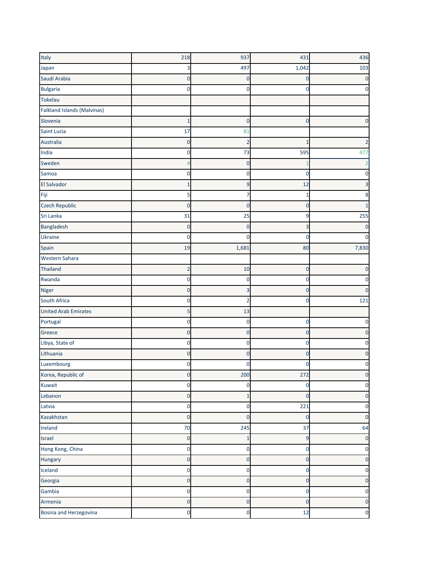| Italy                              | 218            | 937            | 431            | 436   |
|------------------------------------|----------------|----------------|----------------|-------|
| Japan                              | 3              | 497            | 1,042          | 103   |
| Saudi Arabia                       | $\mathbf 0$    | 0              | 0              |       |
| <b>Bulgaria</b>                    | $\Omega$       | 0              | 0              |       |
| Tokelau                            |                |                |                |       |
| <b>Falkland Islands (Malvinas)</b> |                |                |                |       |
| Slovenia                           | 1              | $\mathbf 0$    | 0              | 0     |
| Saint Lucia                        | 17             | 81             |                |       |
| Australia                          | $\mathbf{0}$   | $\overline{2}$ | 1              |       |
| India                              | 0              | 73             | 595            | 477   |
| Sweden                             |                | 0              |                |       |
| Samoa                              | 0              | 0              | 0              |       |
| El Salvador                        | 1              | 9              | 12             |       |
| Fiji                               | 5              | 7              | 1              |       |
| Czech Republic                     | $\mathbf 0$    | 0              | 0              |       |
| Sri Lanka                          | 31             | 25             | 9              | 255   |
| Bangladesh                         | 0              | 0              | 3              |       |
| Ukraine                            | 0              | C              | 0              |       |
| Spain                              | 19             | 1,681          | 80             | 7,830 |
| Western Sahara                     |                |                |                |       |
| <b>Thailand</b>                    | $\overline{2}$ | 10             | 0              | 0     |
| Rwanda                             | 0              | 0              | 0              |       |
| <b>Niger</b>                       | $\mathbf 0$    |                | 0              | 0     |
| South Africa                       | 0              | 2              | 0              | 121   |
| <b>United Arab Emirates</b>        | 5              | 13             |                |       |
| Portugal                           | 0              | 0              | 0              | O     |
| Greece                             | $\mathbf 0$    | 0              | 0              |       |
| Libya, State of                    | $\mathbf 0$    | 0              | 0              |       |
| Lithuania                          | 0              | 0              | 0              |       |
| Luxembourg                         | 0              | C              | 0              |       |
| Korea, Republic of                 | $\mathbf{0}$   | 200            | 272            |       |
| Kuwait                             | $\mathbf 0$    | 0              | 0              | 0     |
| Lebanon                            | $\mathbf{0}$   | $\mathbf{1}$   | $\overline{0}$ | 0     |
| Latvia                             | $\mathbf 0$    | $\mathbf 0$    | 221            | 0     |
| Kazakhstan                         | $\mathbf 0$    | $\mathbf 0$    | 0              | 0     |
| Ireland                            | 70             | 245            | 37             | 64    |
| Israel                             | $\mathbf{0}$   | $\overline{1}$ | 9              | 0     |
| Hong Kong, China                   | $\mathbf 0$    | $\mathbf 0$    | 0              | 0     |
| Hungary                            | $\mathbf 0$    | $\mathbf 0$    | $\mathbf 0$    | 0     |
| Iceland                            | $\mathbf 0$    | $\mathbf 0$    | 0              | 0     |
| Georgia                            | $\mathbf 0$    | $\mathbf 0$    | $\mathbf{0}$   | 0     |
| Gambia                             | $\bf{0}$       | 0              | 0              | 0     |
| Armenia                            | $\mathbf{0}$   | $\mathbf{0}$   | $\mathbf{0}$   | 0     |
| Bosnia and Herzegovina             | $\mathbf 0$    | $\mathbf 0$    | 12             | 0     |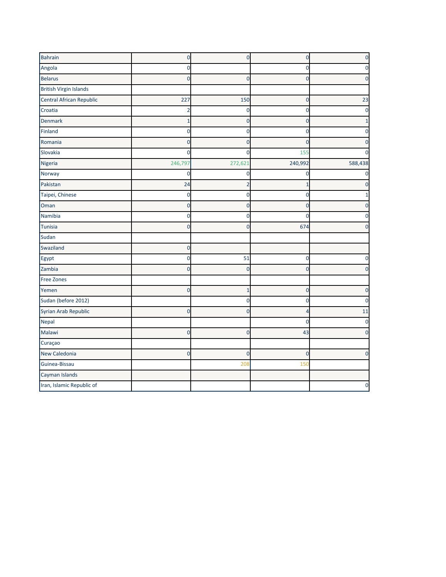| <b>Bahrain</b>                | $\mathbf 0$    | $\overline{0}$ | $\overline{0}$ |          |
|-------------------------------|----------------|----------------|----------------|----------|
| Angola                        | $\Omega$       |                | 0              |          |
| <b>Belarus</b>                | n              | 0              | 0              |          |
| <b>British Virgin Islands</b> |                |                |                |          |
| Central African Republic      | 227            | 150            | 0              | 23       |
| Croatia                       |                | 0              | $\Omega$       |          |
| Denmark                       |                | 0              | 0              |          |
| Finland                       | $\mathbf 0$    | $\mathbf 0$    | 0              |          |
| Romania                       | $\Omega$       | 0              | O              |          |
| Slovakia                      | $\Omega$       | 0              | 155            |          |
| Nigeria                       | 246,797        | 272,621        | 240,992        | 588,438  |
| Norway                        | $\mathbf 0$    | 0              | 0              |          |
| Pakistan                      | 24             |                |                |          |
| Taipei, Chinese               | $\mathbf 0$    | 0              | 0              |          |
| Oman                          | $\Omega$       | 0              | 0              |          |
| Namibia                       | 0              | 0              | n              |          |
| Tunisia                       | $\Omega$       | $\Omega$       | 674            |          |
| Sudan                         |                |                |                |          |
| Swaziland                     | $\overline{0}$ |                |                |          |
| Egypt                         | $\Omega$       | 51             | 0              |          |
| Zambia                        | $\Omega$       | 0              | $\Omega$       |          |
| <b>Free Zones</b>             |                |                |                |          |
| Yemen                         | $\overline{0}$ | $\overline{1}$ | $\overline{0}$ |          |
| Sudan (before 2012)           |                | 0              | 0              |          |
| Syrian Arab Republic          | $\mathbf 0$    | $\Omega$       | Δ              | 11       |
| Nepal                         |                |                | 0              |          |
| Malawi                        | $\mathbf 0$    | 0              | 43             |          |
| Curaçao                       |                |                |                |          |
| New Caledonia                 | $\overline{0}$ | $\mathbf 0$    | $\overline{0}$ | $\Omega$ |
| Guinea-Bissau                 |                | 208            | 150            |          |
| Cayman Islands                |                |                |                |          |
| Iran, Islamic Republic of     |                |                |                |          |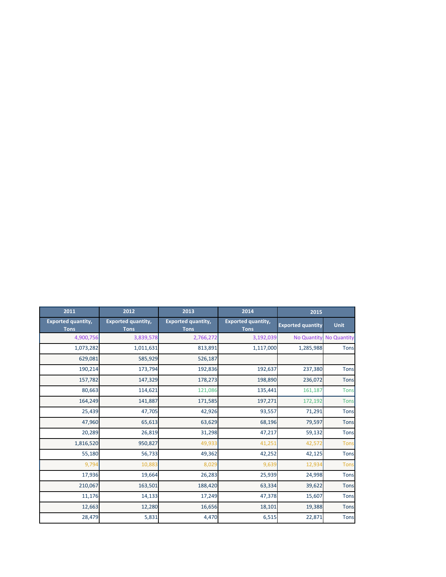| 2011                                     | 2012                                     | 2013                                     | 2014                                     | 2015                     |                    |
|------------------------------------------|------------------------------------------|------------------------------------------|------------------------------------------|--------------------------|--------------------|
| <b>Exported quantity,</b><br><b>Tons</b> | <b>Exported quantity,</b><br><b>Tons</b> | <b>Exported quantity,</b><br><b>Tons</b> | <b>Exported quantity,</b><br><b>Tons</b> | <b>Exported quantity</b> | <b>Unit</b>        |
| 4,900,756                                | 3,839,578                                | 2,766,272                                | 3,192,039                                | <b>No Quantity</b>       | <b>No Quantity</b> |
| 1,073,282                                | 1,011,631                                | 813,891                                  | 1,117,000                                | 1,285,988                | <b>Tons</b>        |
| 629,081                                  | 585,929                                  | 526,187                                  |                                          |                          |                    |
| 190,214                                  | 173,794                                  | 192,836                                  | 192,637                                  | 237,380                  | <b>Tons</b>        |
| 157,782                                  | 147,329                                  | 178,273                                  | 198,890                                  | 236,072                  | <b>Tons</b>        |
| 80,663                                   | 114,621                                  | 121,086                                  | 135,441                                  | 161,187                  | <b>Tons</b>        |
| 164,249                                  | 141,887                                  | 171,585                                  | 197,271                                  | 172,192                  | <b>Tons</b>        |
| 25,439                                   | 47,705                                   | 42,926                                   | 93,557                                   | 71,291                   | <b>Tons</b>        |
| 47,960                                   | 65,613                                   | 63,629                                   | 68,196                                   | 79,597                   | <b>Tons</b>        |
| 20,289                                   | 26,819                                   | 31,298                                   | 47,217                                   | 59,132                   | <b>Tons</b>        |
| 1,816,520                                | 950,827                                  | 49,933                                   | 41,251                                   | 42,572                   | <b>Tons</b>        |
| 55,180                                   | 56,733                                   | 49,362                                   | 42,252                                   | 42,125                   | <b>Tons</b>        |
| 9,794                                    | 10,883                                   | 8,029                                    | 9,639                                    | 12,934                   | <b>Tons</b>        |
| 17,936                                   | 19,664                                   | 26,283                                   | 25,939                                   | 24,998                   | <b>Tons</b>        |
| 210,067                                  | 163,501                                  | 188,420                                  | 63,334                                   | 39,622                   | <b>Tons</b>        |
| 11,176                                   | 14,133                                   | 17,249                                   | 47,378                                   | 15,607                   | <b>Tons</b>        |
| 12,663                                   | 12,280                                   | 16,656                                   | 18,101                                   | 19,388                   | <b>Tons</b>        |
| 28,479                                   | 5,831                                    | 4,470                                    | 6,515                                    | 22,871                   | <b>Tons</b>        |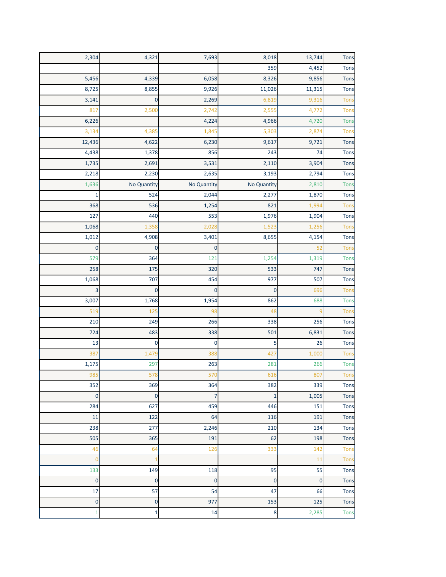| 2,304        | 4,321              | 7,693        | 8,018        | 13,744      | <b>Tons</b> |
|--------------|--------------------|--------------|--------------|-------------|-------------|
|              |                    |              | 359          | 4,452       | Tons        |
| 5,456        | 4,339              | 6,058        | 8,326        | 9,856       | Tons        |
| 8,725        | 8,855              | 9,926        | 11,026       | 11,315      | Tons        |
| 3,141        | $\mathbf 0$        | 2,269        | 6,819        | 9,316       | <b>Tons</b> |
| 817          | 2,500              | 2,742        | 2,555        | 4,772       | Tons        |
| 6,226        |                    | 4,224        | 4,966        | 4,720       | <b>Tons</b> |
| 3,134        | 4,385              | 1,845        | 5,303        | 2,874       | <b>Tons</b> |
| 12,436       | 4,622              | 6,230        | 9,617        | 9,721       | <b>Tons</b> |
| 4,438        | 1,378              | 856          | 243          | 74          | Tons        |
| 1,735        | 2,691              | 3,531        | 2,110        | 3,904       | <b>Tons</b> |
| 2,218        | 2,230              | 2,635        | 3,193        | 2,794       | <b>Tons</b> |
| 1,636        | <b>No Quantity</b> | No Quantity  | No Quantity  | 2,810       | <b>Tons</b> |
| $\mathbf{1}$ | 524                | 2,044        | 2,277        | 1,870       | <b>Tons</b> |
| 368          | 536                | 1,254        | 821          | 1,994       | Tons        |
| 127          | 440                | 553          | 1,976        | 1,904       | Tons        |
| 1,068        | 1,358              | 2,028        | 1,523        | 1,256       | <b>Tons</b> |
| 1,012        | 4,908              | 3,401        | 8,655        | 4,154       | <b>Tons</b> |
| $\mathbf 0$  | $\mathbf 0$        | $\mathbf{0}$ |              | 52          | Tons        |
| 579          | 364                | 121          | 1,254        | 1,319       | <b>Tons</b> |
| 258          | 175                | 320          | 533          | 747         | <b>Tons</b> |
| 1,068        | 707                | 454          | 977          | 507         | Tons        |
| 3            | $\mathbf{0}$       | $\mathbf 0$  | $\mathbf 0$  | 696         | Tons        |
| 3,007        | 1,768              | 1,954        | 862          | 688         | <b>Tons</b> |
| 519          | 125                | 98           | 48           | 9           | Tons        |
| 210          | 249                | 266          | 338          | 256         | <b>Tons</b> |
| 724          | 483                | 338          | 501          | 6,831       | <b>Tons</b> |
| 13           | $\mathbf 0$        | $\mathbf 0$  | 5            | 26          | Tons        |
| 387          | 1,479              | 388          | 427          | 1,000       | <b>Tons</b> |
| 1,175        | 297                | 263          | 281          | 266         | <b>Tons</b> |
| 985          | 578                | 570          | 616          | 807         | Tons        |
| 352          | 369                | 364          | 382          | 339         | <b>Tons</b> |
| $\mathbf 0$  | $\mathbf 0$        | 7            | $\mathbf{1}$ | 1,005       | Tons        |
| 284          | 627                | 459          | 446          | 151         | <b>Tons</b> |
| 11           | 122                | 64           | 116          | 191         | Tons        |
| 238          | 277                | 2,246        | 210          | 134         | <b>Tons</b> |
| 505          | 365                | 191          | 62           | 198         | <b>Tons</b> |
| 46           | 64                 | 126          | 333          | 142         | <b>Tons</b> |
| 0            | 1                  |              |              | 11          | <b>Tons</b> |
| 133          | 149                | 118          | 95           | 55          | <b>Tons</b> |
| $\mathbf{0}$ | $\mathbf 0$        | $\mathbf{0}$ | $\mathbf 0$  | $\mathbf 0$ | <b>Tons</b> |
| 17           | 57                 | 54           | 47           | 66          | <b>Tons</b> |
| $\mathbf 0$  | $\mathbf 0$        | 977          | 153          | 125         | <b>Tons</b> |
| $\mathbf{1}$ | $\mathbf{1}$       | 14           | 8            | 2,285       | Tons        |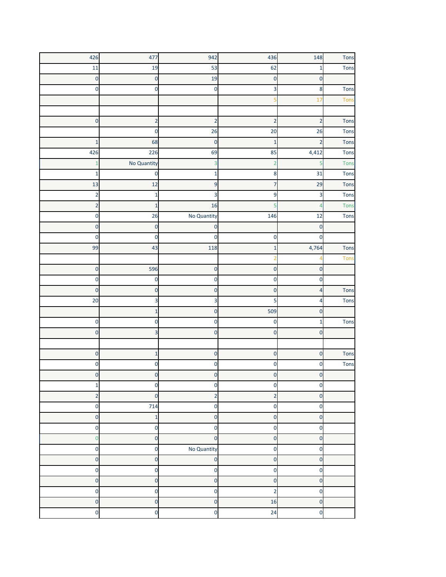| 426                     | 477                     | 942                     | 436                     | 148            | Tons        |
|-------------------------|-------------------------|-------------------------|-------------------------|----------------|-------------|
| 11                      | 19                      | 53                      | 62                      | $\overline{1}$ | Tons        |
| $\mathbf 0$             | $\mathbf 0$             | 19                      | $\mathbf 0$             | $\mathbf 0$    |             |
| 0                       | 0                       | $\mathbf 0$             | 3                       | 8              | Tons        |
|                         |                         |                         | ц                       | 17             | <b>Tons</b> |
|                         |                         |                         |                         |                |             |
| $\mathbf 0$             | $\overline{\mathbf{c}}$ | $\overline{2}$          | $\overline{2}$          | $\overline{2}$ | Tons        |
|                         | 0                       | 26                      | 20                      | 26             | Tons        |
| $\mathbf{1}$            | 68                      | $\mathbf 0$             | $\mathbf{1}$            | $\overline{2}$ | Tons        |
| 426                     | 226                     | 69                      | 85                      | 4,412          | Tons        |
| $\mathbf{1}$            | No Quantity             | 3                       | $\overline{2}$          | 5              | Tons        |
| 1                       | $\mathbf 0$             | 1                       | 8                       | 31             | Tons        |
| 13                      | 12                      | 9                       | 7                       | 29             | <b>Tons</b> |
| $\overline{2}$          | $\mathbf{1}$            | 3                       | 9                       | 3              | Tons        |
| $\overline{2}$          | $\mathbf{1}$            | 16                      | 5                       | $\overline{4}$ | Tons        |
| $\mathbf 0$             | 26                      | No Quantity             | 146                     | 12             | Tons        |
| $\mathbf 0$             | $\mathbf 0$             | $\mathbf 0$             |                         | $\mathbf 0$    |             |
| 0                       | 0                       | 0                       | 0                       | 0              |             |
| 99                      | 43                      | 118                     | $\mathbf{1}$            | 4,764          | Tons        |
|                         |                         |                         |                         |                | <b>Tons</b> |
| $\mathbf 0$             | 596                     | $\mathbf 0$             | $\mathbf 0$             | $\mathbf 0$    |             |
| $\mathbf 0$             | $\mathbf 0$             | $\mathbf 0$             | $\mathbf 0$             | $\mathbf 0$    |             |
| $\mathbf 0$             | $\mathbf 0$             | $\mathbf 0$             | $\mathbf 0$             | $\overline{a}$ | Tons        |
| 20                      | 3                       | 3                       | 5                       | 4              | Tons        |
|                         | 1                       | 0                       | 509                     | 0              |             |
| 0                       | 0                       | 0                       | 0                       | $\mathbf{1}$   | Tons        |
| $\mathbf 0$             | 3                       | 0                       | $\mathbf 0$             | $\mathbf 0$    |             |
|                         |                         |                         |                         |                |             |
| $\mathbf 0$             | $\mathbf 1$             | $\mathbf 0$             | $\mathbf 0$             | $\mathbf 0$    | Tons        |
| 0                       | 0                       | 0                       | 0                       | $\mathbf 0$    | Tons        |
| 0                       | 0                       | 0                       | 0                       | 0              |             |
| $\mathbf 1$             | $\mathbf 0$             | $\mathbf 0$             | $\mathbf 0$             | 0              |             |
| $\overline{\mathbf{c}}$ | $\mathbf 0$             | $\overline{\mathbf{c}}$ | $\overline{2}$          | $\mathbf 0$    |             |
| $\mathbf 0$             | 714                     | $\mathbf 0$             | $\mathbf 0$             | $\mathbf 0$    |             |
| $\mathbf 0$             | $\mathbf{1}$            | $\mathbf{0}$            | $\mathbf 0$             | $\mathbf 0$    |             |
| $\mathbf 0$             | $\bf 0$                 | $\mathbf{0}$            | $\mathbf 0$             | $\mathbf 0$    |             |
| $\mathbf 0$             | $\pmb{0}$               | $\mathbf 0$             | $\mathbf 0$             | $\mathbf 0$    |             |
| $\mathbf 0$             | $\mathbf 0$             | No Quantity             | $\mathbf 0$             | $\mathbf 0$    |             |
| $\mathbf 0$             | $\mathbf{0}$            | $\mathbf 0$             | $\mathbf 0$             | $\bf 0$        |             |
| $\mathbf 0$             | $\bf 0$                 | $\mathbf{0}$            | $\mathbf 0$             | $\mathbf 0$    |             |
| $\mathbf 0$             | $\mathbf 0$             | $\overline{0}$          | $\mathbf 0$             | $\mathbf 0$    |             |
| $\mathbf 0$             | $\mathbf 0$             | $\mathbf 0$             | $\overline{\mathbf{c}}$ | $\mathbf 0$    |             |
| $\mathbf 0$             | $\mathbf 0$             | $\mathbf{0}$            | 16                      | $\mathbf 0$    |             |
| $\mathbf 0$             | $\mathbf 0$             | $\mathbf 0$             | 24                      | $\mathbf 0$    |             |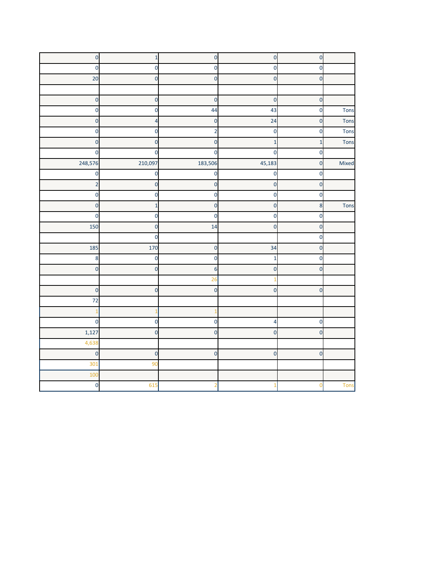| $\mathbf 0$    | $\mathbf 1$    | $\mathbf 0$             | $\mathbf 0$    | $\mathbf 0$  |             |
|----------------|----------------|-------------------------|----------------|--------------|-------------|
| $\mathbf 0$    | $\mathbf 0$    | $\mathbf 0$             | $\mathbf 0$    | $\mathbf 0$  |             |
| 20             | $\mathbf 0$    | $\mathbf 0$             | $\mathbf 0$    | $\mathbf 0$  |             |
|                |                |                         |                |              |             |
| $\mathbf{0}$   | $\mathbf 0$    | $\mathbf{0}$            | $\mathbf{0}$   | $\mathbf 0$  |             |
| $\mathbf 0$    | $\mathbf 0$    | 44                      | 43             | $\mathbf 0$  | Tons        |
| $\mathbf 0$    | 4              | $\mathbf 0$             | 24             | $\mathbf 0$  | Tons        |
| $\mathbf{0}$   | $\mathbf 0$    | $\overline{\mathbf{c}}$ | $\mathbf 0$    | $\mathbf 0$  | Tons        |
| $\mathbf 0$    | $\mathbf 0$    | $\mathbf 0$             | $\mathbf{1}$   | $\mathbf{1}$ | Tons        |
| $\mathbf 0$    | 0              | $\mathbf 0$             | $\mathbf 0$    | $\mathbf 0$  |             |
| 248,576        | 210,097        | 183,506                 | 45,183         | $\mathbf 0$  | Mixed       |
| $\mathbf 0$    | $\pmb{0}$      | 0                       | $\mathbf 0$    | $\mathbf 0$  |             |
| $\overline{2}$ | $\mathbf 0$    | $\mathbf 0$             | $\mathbf 0$    | $\mathbf 0$  |             |
| $\mathbf{0}$   | $\mathbf 0$    | $\mathbf 0$             | $\mathbf 0$    | $\mathbf 0$  |             |
| $\mathbf 0$    | $\mathbf{1}$   | $\mathbf 0$             | $\mathbf 0$    | 8            | Tons        |
| $\mathbf 0$    | $\mathbf 0$    | $\mathbf 0$             | $\mathbf 0$    | $\mathbf 0$  |             |
| 150            | $\mathbf 0$    | 14                      | $\mathbf 0$    | $\mathbf 0$  |             |
|                | $\mathbf 0$    |                         |                | $\mathbf 0$  |             |
| 185            | 170            | $\mathbf 0$             | 34             | $\mathbf 0$  |             |
| 8              | $\mathbf 0$    | $\mathbf 0$             | $\mathbf{1}$   | $\mathbf 0$  |             |
| $\mathbf 0$    | $\mathbf 0$    | 6                       | $\mathbf 0$    | $\mathbf 0$  |             |
|                |                | 26                      |                |              |             |
| $\mathbf 0$    | $\mathbf 0$    | $\mathbf 0$             | $\mathbf 0$    | $\mathbf 0$  |             |
| 72             |                |                         |                |              |             |
|                |                |                         |                |              |             |
| $\mathbf 0$    | $\mathbf 0$    | $\mathbf 0$             | 4              | $\mathbf 0$  |             |
| 1,127          | $\overline{0}$ | $\overline{0}$          | $\overline{0}$ | $\Omega$     |             |
| 4,638          |                |                         |                |              |             |
| $\mathbf 0$    | $\pmb{0}$      | $\mathbf{0}$            | $\mathbf 0$    | $\mathbf 0$  |             |
| 301            | 90             |                         |                |              |             |
| 100            |                |                         |                |              |             |
| $\mathbf 0$    | 615            |                         |                | O            | <b>Tons</b> |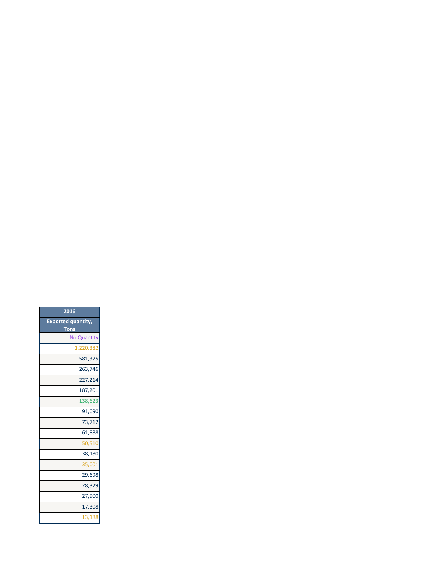| 2016                      |
|---------------------------|
| <b>Exported quantity,</b> |
| <b>Tons</b>               |
| <b>No Quantity</b>        |
| 1,220,382                 |
| 581,375                   |
| 263.746                   |
| 227,214                   |
| 187,201                   |
| 138,623                   |
| 91,090                    |
| 73,712                    |
| 61,888                    |
| 50.510                    |
| 38,180                    |
| 35,001                    |
| 29,698                    |
| 28,329                    |
| 27,900                    |
| 17,308                    |
| 13,188                    |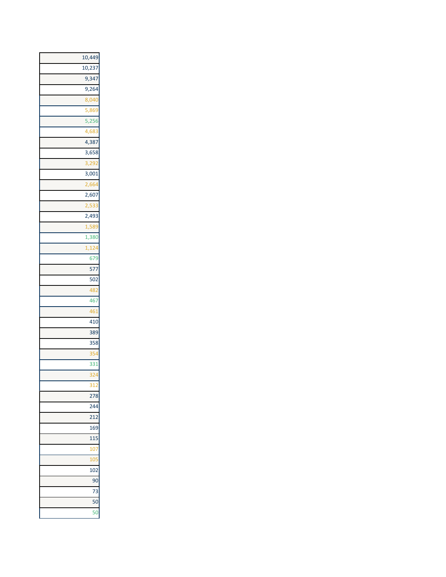| 10,449             |
|--------------------|
| 10,237             |
| 9,347              |
| 9,264              |
| 8,040              |
| 5,86               |
| $\overline{5,256}$ |
| 4,68               |
| 4,387              |
| 3,658              |
| 3,29               |
| 3,001              |
| 2,664              |
| 2,607              |
| 2,53               |
| 2,493              |
| 1,589              |
| 1,380              |
| 1,12               |
| 679                |
| 577                |
| 502                |
| 48                 |
| 467                |
| 46                 |
| 410                |
| 389                |
| 358                |
| 35                 |
| 33 <sup>2</sup>    |
| 32 <sub>4</sub>    |
| 312                |
| 278                |
| 244                |
| 212                |
| 169                |
| 115                |
| 10 <sub>l</sub>    |
| 105                |
| 102                |
| 90                 |
| 73                 |
| 50                 |
| 50                 |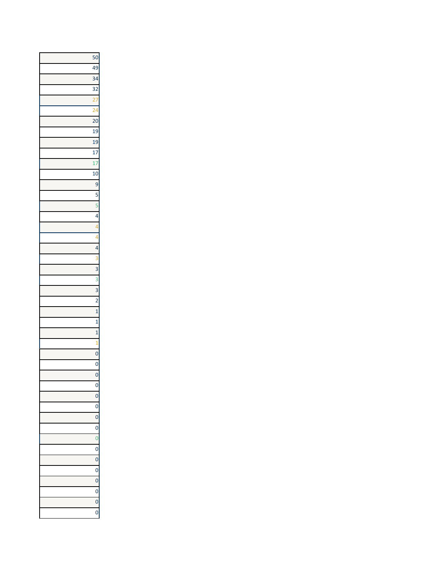| 50              |
|-----------------|
| 49              |
| 34              |
| 32              |
|                 |
| $\overline{2}$  |
| $\overline{20}$ |
| 19              |
| 19              |
| 17              |
| $\mathbf{1}$    |
| 10              |
| 9               |
| 5               |
| 5               |
| 4               |
|                 |
|                 |
| 4               |
|                 |
| 3               |
| 3               |
| 3               |
| $\overline{c}$  |
| $\mathbf{1}$    |
| $\mathbf{1}$    |
| $\mathbf{1}$    |
| 1               |
| $\overline{0}$  |
| $\overline{0}$  |
| $\overline{0}$  |
| 0               |
| $\overline{0}$  |
| $\overline{0}$  |
| $\mathbf{0}$    |
| $\overline{0}$  |
| $\mathbf{0}$    |
| $\overline{0}$  |
| $\mathbf{0}$    |
| $\mathbf{0}$    |
| $\overline{0}$  |
| $\overline{0}$  |
| Ō               |
| (               |